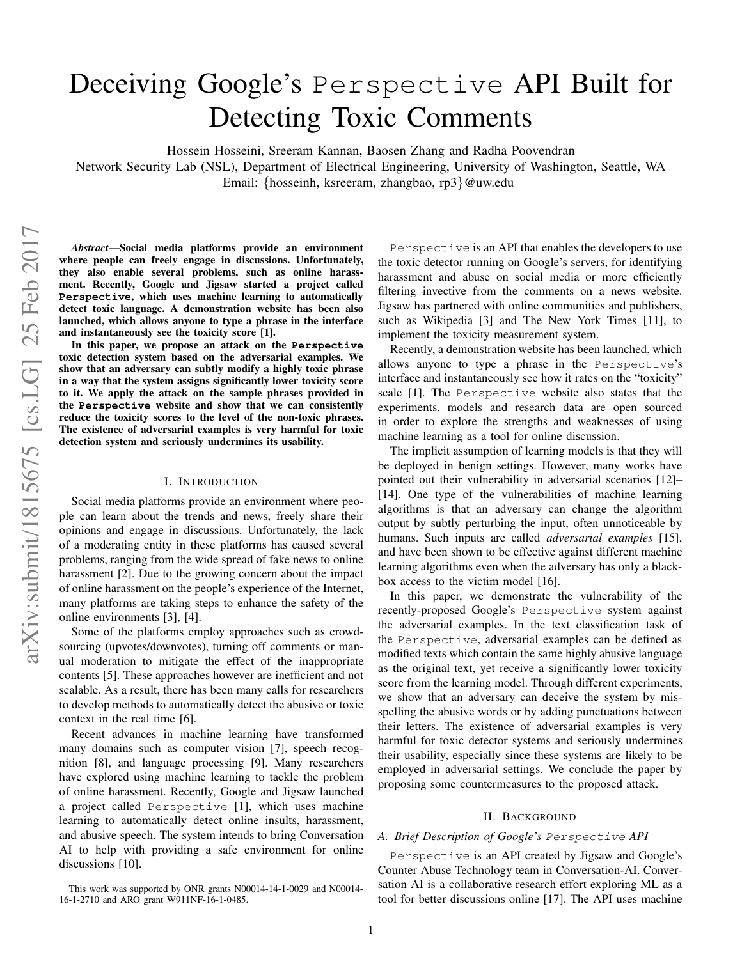# Deceiving Google's Perspective API Built for Detecting Toxic Comments

Hossein Hosseini, Sreeram Kannan, Baosen Zhang and Radha Poovendran

Network Security Lab (NSL), Department of Electrical Engineering, University of Washington, Seattle, WA Email: {hosseinh, ksreeram, zhangbao, rp3}@uw.edu

*Abstract*—Social media platforms provide an environment where people can freely engage in discussions. Unfortunately, they also enable several problems, such as online harassment. Recently, Google and Jigsaw started a project called **Perspective**, which uses machine learning to automatically detect toxic language. A demonstration website has been also launched, which allows anyone to type a phrase in the interface and instantaneously see the toxicity score [\[1\]](#page-3-0).

In this paper, we propose an attack on the **Perspective** toxic detection system based on the adversarial examples. We show that an adversary can subtly modify a highly toxic phrase in a way that the system assigns significantly lower toxicity score to it. We apply the attack on the sample phrases provided in the **Perspective** website and show that we can consistently reduce the toxicity scores to the level of the non-toxic phrases. The existence of adversarial examples is very harmful for toxic detection system and seriously undermines its usability.

### I. INTRODUCTION

Social media platforms provide an environment where people can learn about the trends and news, freely share their opinions and engage in discussions. Unfortunately, the lack of a moderating entity in these platforms has caused several problems, ranging from the wide spread of fake news to online harassment [\[2\]](#page-3-1). Due to the growing concern about the impact of online harassment on the people's experience of the Internet, many platforms are taking steps to enhance the safety of the online environments [\[3\]](#page-3-2), [\[4\]](#page-3-3).

Some of the platforms employ approaches such as crowdsourcing (upvotes/downvotes), turning off comments or manual moderation to mitigate the effect of the inappropriate contents [\[5\]](#page-3-4). These approaches however are inefficient and not scalable. As a result, there has been many calls for researchers to develop methods to automatically detect the abusive or toxic context in the real time [\[6\]](#page-3-5).

Recent advances in machine learning have transformed many domains such as computer vision [\[7\]](#page-3-6), speech recognition [\[8\]](#page-3-7), and language processing [\[9\]](#page-3-8). Many researchers have explored using machine learning to tackle the problem of online harassment. Recently, Google and Jigsaw launched a project called Perspective [\[1\]](#page-3-0), which uses machine learning to automatically detect online insults, harassment, and abusive speech. The system intends to bring Conversation AI to help with providing a safe environment for online discussions [\[10\]](#page-3-9).

Perspective is an API that enables the developers to use the toxic detector running on Google's servers, for identifying harassment and abuse on social media or more efficiently filtering invective from the comments on a news website. Jigsaw has partnered with online communities and publishers, such as Wikipedia [\[3\]](#page-3-2) and The New York Times [\[11\]](#page-3-10), to implement the toxicity measurement system.

Recently, a demonstration website has been launched, which allows anyone to type a phrase in the Perspective's interface and instantaneously see how it rates on the "toxicity" scale [\[1\]](#page-3-0). The Perspective website also states that the experiments, models and research data are open sourced in order to explore the strengths and weaknesses of using machine learning as a tool for online discussion.

The implicit assumption of learning models is that they will be deployed in benign settings. However, many works have pointed out their vulnerability in adversarial scenarios [\[12\]](#page-3-11)– [\[14\]](#page-3-12). One type of the vulnerabilities of machine learning algorithms is that an adversary can change the algorithm output by subtly perturbing the input, often unnoticeable by humans. Such inputs are called *adversarial examples* [\[15\]](#page-3-13), and have been shown to be effective against different machine learning algorithms even when the adversary has only a blackbox access to the victim model [\[16\]](#page-3-14).

In this paper, we demonstrate the vulnerability of the recently-proposed Google's Perspective system against the adversarial examples. In the text classification task of the Perspective, adversarial examples can be defined as modified texts which contain the same highly abusive language as the original text, yet receive a significantly lower toxicity score from the learning model. Through different experiments, we show that an adversary can deceive the system by misspelling the abusive words or by adding punctuations between their letters. The existence of adversarial examples is very harmful for toxic detector systems and seriously undermines their usability, especially since these systems are likely to be employed in adversarial settings. We conclude the paper by proposing some countermeasures to the proposed attack.

#### II. BACKGROUND

### *A. Brief Description of Google's* Perspective *API*

Perspective is an API created by Jigsaw and Google's Counter Abuse Technology team in Conversation-AI. Conversation AI is a collaborative research effort exploring ML as a tool for better discussions online [\[17\]](#page-3-15). The API uses machine

This work was supported by ONR grants N00014-14-1-0029 and N00014- 16-1-2710 and ARO grant W911NF-16-1-0485.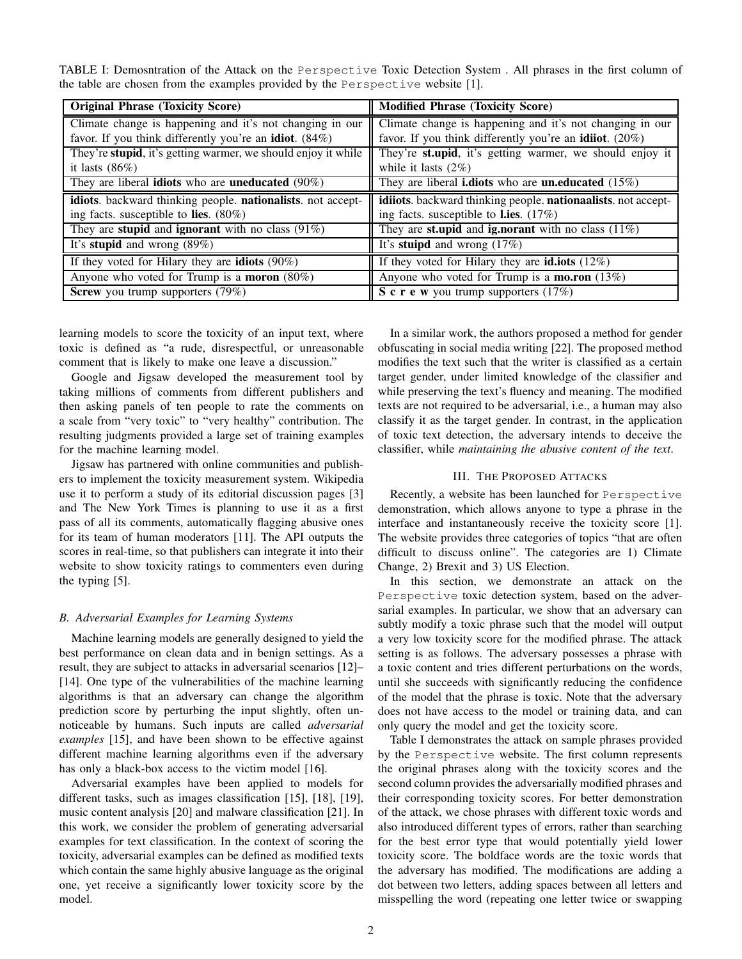<span id="page-1-0"></span>TABLE I: Demosntration of the Attack on the Perspective Toxic Detection System . All phrases in the first column of the table are chosen from the examples provided by the Perspective website [\[1\]](#page-3-0).

| <b>Original Phrase (Toxicity Score)</b>                           | <b>Modified Phrase (Toxicity Score)</b>                             |
|-------------------------------------------------------------------|---------------------------------------------------------------------|
| Climate change is happening and it's not changing in our          | Climate change is happening and it's not changing in our            |
| favor. If you think differently you're an <b>idiot</b> . $(84\%)$ | favor. If you think differently you're an <b>idiiot</b> . (20%)     |
| They're stupid, it's getting warmer, we should enjoy it while     | They're st.upid, it's getting warmer, we should enjoy it            |
| it lasts $(86%)$                                                  | while it lasts $(2\%)$                                              |
| They are liberal <b>idiots</b> who are <b>uneducated</b> $(90\%)$ | They are liberal <b>i.diots</b> who are <b>un.educated</b> $(15\%)$ |
| idiots. backward thinking people. nationalists. not accept-       | idiiots. backward thinking people. nationaalists. not accept-       |
| ing facts. susceptible to lies. $(80\%)$                          | ing facts. susceptible to <b>l.ies</b> . $(17\%)$                   |
| They are <b>stupid</b> and <b>ignorant</b> with no class $(91\%)$ | They are st.upid and ig.norant with no class $(11\%)$               |
| It's <b>stupid</b> and wrong $(89\%)$                             | It's <b>stuipd</b> and wrong $(17%)$                                |
| If they voted for Hilary they are <b>idiots</b> $(90\%)$          | If they voted for Hilary they are <b>id.iots</b> $(12\%)$           |
| Anyone who voted for Trump is a <b>moron</b> $(80\%)$             | Anyone who voted for Trump is a <b>mo.ron</b> $(13\%)$              |
| <b>Screw</b> you trump supporters $(79\%)$                        | S c r e w you trump supporters $(17%)$                              |

learning models to score the toxicity of an input text, where toxic is defined as "a rude, disrespectful, or unreasonable comment that is likely to make one leave a discussion."

Google and Jigsaw developed the measurement tool by taking millions of comments from different publishers and then asking panels of ten people to rate the comments on a scale from "very toxic" to "very healthy" contribution. The resulting judgments provided a large set of training examples for the machine learning model.

Jigsaw has partnered with online communities and publishers to implement the toxicity measurement system. Wikipedia use it to perform a study of its editorial discussion pages [\[3\]](#page-3-2) and The New York Times is planning to use it as a first pass of all its comments, automatically flagging abusive ones for its team of human moderators [\[11\]](#page-3-10). The API outputs the scores in real-time, so that publishers can integrate it into their website to show toxicity ratings to commenters even during the typing [\[5\]](#page-3-4).

## *B. Adversarial Examples for Learning Systems*

Machine learning models are generally designed to yield the best performance on clean data and in benign settings. As a result, they are subject to attacks in adversarial scenarios [\[12\]](#page-3-11)– [\[14\]](#page-3-12). One type of the vulnerabilities of the machine learning algorithms is that an adversary can change the algorithm prediction score by perturbing the input slightly, often unnoticeable by humans. Such inputs are called *adversarial examples* [\[15\]](#page-3-13), and have been shown to be effective against different machine learning algorithms even if the adversary has only a black-box access to the victim model [\[16\]](#page-3-14).

Adversarial examples have been applied to models for different tasks, such as images classification [\[15\]](#page-3-13), [\[18\]](#page-3-16), [\[19\]](#page-3-17), music content analysis [\[20\]](#page-3-18) and malware classification [\[21\]](#page-3-19). In this work, we consider the problem of generating adversarial examples for text classification. In the context of scoring the toxicity, adversarial examples can be defined as modified texts which contain the same highly abusive language as the original one, yet receive a significantly lower toxicity score by the model.

In a similar work, the authors proposed a method for gender obfuscating in social media writing [\[22\]](#page-3-20). The proposed method modifies the text such that the writer is classified as a certain target gender, under limited knowledge of the classifier and while preserving the text's fluency and meaning. The modified texts are not required to be adversarial, i.e., a human may also classify it as the target gender. In contrast, in the application of toxic text detection, the adversary intends to deceive the classifier, while *maintaining the abusive content of the text*.

## III. THE PROPOSED ATTACKS

<span id="page-1-1"></span>Recently, a website has been launched for Perspective demonstration, which allows anyone to type a phrase in the interface and instantaneously receive the toxicity score [\[1\]](#page-3-0). The website provides three categories of topics "that are often difficult to discuss online". The categories are 1) Climate Change, 2) Brexit and 3) US Election.

In this section, we demonstrate an attack on the Perspective toxic detection system, based on the adversarial examples. In particular, we show that an adversary can subtly modify a toxic phrase such that the model will output a very low toxicity score for the modified phrase. The attack setting is as follows. The adversary possesses a phrase with a toxic content and tries different perturbations on the words, until she succeeds with significantly reducing the confidence of the model that the phrase is toxic. Note that the adversary does not have access to the model or training data, and can only query the model and get the toxicity score.

Table [I](#page-1-0) demonstrates the attack on sample phrases provided by the Perspective website. The first column represents the original phrases along with the toxicity scores and the second column provides the adversarially modified phrases and their corresponding toxicity scores. For better demonstration of the attack, we chose phrases with different toxic words and also introduced different types of errors, rather than searching for the best error type that would potentially yield lower toxicity score. The boldface words are the toxic words that the adversary has modified. The modifications are adding a dot between two letters, adding spaces between all letters and misspelling the word (repeating one letter twice or swapping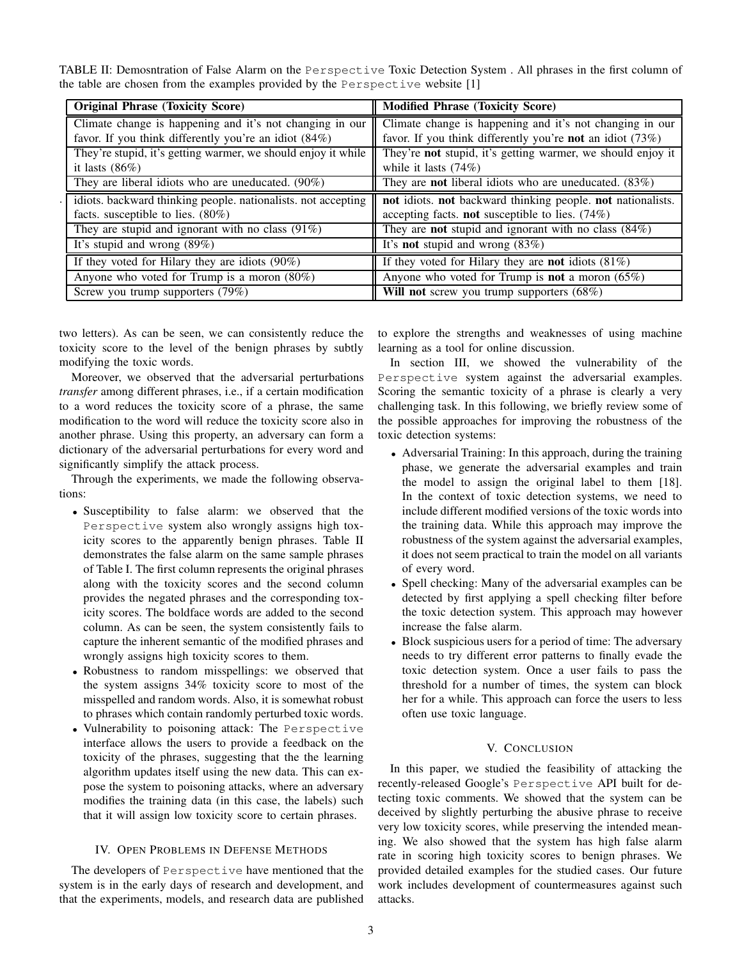<span id="page-2-0"></span>TABLE II: Demosntration of False Alarm on the Perspective Toxic Detection System . All phrases in the first column of the table are chosen from the examples provided by the Perspective website [\[1\]](#page-3-0)

| <b>Original Phrase (Toxicity Score)</b>                       | <b>Modified Phrase (Toxicity Score)</b>                            |
|---------------------------------------------------------------|--------------------------------------------------------------------|
| Climate change is happening and it's not changing in our      | Climate change is happening and it's not changing in our           |
| favor. If you think differently you're an idiot $(84%)$       | favor. If you think differently you're <b>not</b> an idiot $(73%)$ |
| They're stupid, it's getting warmer, we should enjoy it while | They're not stupid, it's getting warmer, we should enjoy it        |
| it lasts $(86\%)$                                             | while it lasts $(74%)$                                             |
| They are liberal idiots who are uneducated. $(90\%)$          | They are <b>not</b> liberal idiots who are uneducated. $(83\%)$    |
| idiots. backward thinking people. nationalists. not accepting | not idiots. not backward thinking people. not nationalists.        |
| facts. susceptible to lies. $(80\%)$                          | accepting facts. not susceptible to lies. $(74%)$                  |
| They are stupid and ignorant with no class $(91\%)$           | They are <b>not</b> stupid and ignorant with no class $(84%)$      |
| It's stupid and wrong $(89\%)$                                | It's <b>not</b> stupid and wrong $(83%)$                           |
| If they voted for Hilary they are idiots $(90\%)$             | If they voted for Hilary they are <b>not</b> idiots $(81\%)$       |
| Anyone who voted for Trump is a moron $(80\%)$                | Anyone who voted for Trump is <b>not</b> a moron $(65%)$           |
| Screw you trump supporters (79%)                              | Will not screw you trump supporters $(68\%)$                       |

two letters). As can be seen, we can consistently reduce the toxicity score to the level of the benign phrases by subtly modifying the toxic words.

Moreover, we observed that the adversarial perturbations *transfer* among different phrases, i.e., if a certain modification to a word reduces the toxicity score of a phrase, the same modification to the word will reduce the toxicity score also in another phrase. Using this property, an adversary can form a dictionary of the adversarial perturbations for every word and significantly simplify the attack process.

Through the experiments, we made the following observations:

- Susceptibility to false alarm: we observed that the Perspective system also wrongly assigns high toxicity scores to the apparently benign phrases. Table [II](#page-2-0) demonstrates the false alarm on the same sample phrases of Table [I.](#page-1-0) The first column represents the original phrases along with the toxicity scores and the second column provides the negated phrases and the corresponding toxicity scores. The boldface words are added to the second column. As can be seen, the system consistently fails to capture the inherent semantic of the modified phrases and wrongly assigns high toxicity scores to them.
- Robustness to random misspellings: we observed that the system assigns 34% toxicity score to most of the misspelled and random words. Also, it is somewhat robust to phrases which contain randomly perturbed toxic words.
- Vulnerability to poisoning attack: The Perspective interface allows the users to provide a feedback on the toxicity of the phrases, suggesting that the the learning algorithm updates itself using the new data. This can expose the system to poisoning attacks, where an adversary modifies the training data (in this case, the labels) such that it will assign low toxicity score to certain phrases.

# IV. OPEN PROBLEMS IN DEFENSE METHODS

The developers of Perspective have mentioned that the system is in the early days of research and development, and that the experiments, models, and research data are published to explore the strengths and weaknesses of using machine learning as a tool for online discussion.

In section [III,](#page-1-1) we showed the vulnerability of the Perspective system against the adversarial examples. Scoring the semantic toxicity of a phrase is clearly a very challenging task. In this following, we briefly review some of the possible approaches for improving the robustness of the toxic detection systems:

- Adversarial Training: In this approach, during the training phase, we generate the adversarial examples and train the model to assign the original label to them [\[18\]](#page-3-16). In the context of toxic detection systems, we need to include different modified versions of the toxic words into the training data. While this approach may improve the robustness of the system against the adversarial examples, it does not seem practical to train the model on all variants of every word.
- Spell checking: Many of the adversarial examples can be detected by first applying a spell checking filter before the toxic detection system. This approach may however increase the false alarm.
- Block suspicious users for a period of time: The adversary needs to try different error patterns to finally evade the toxic detection system. Once a user fails to pass the threshold for a number of times, the system can block her for a while. This approach can force the users to less often use toxic language.

# V. CONCLUSION

In this paper, we studied the feasibility of attacking the recently-released Google's Perspective API built for detecting toxic comments. We showed that the system can be deceived by slightly perturbing the abusive phrase to receive very low toxicity scores, while preserving the intended meaning. We also showed that the system has high false alarm rate in scoring high toxicity scores to benign phrases. We provided detailed examples for the studied cases. Our future work includes development of countermeasures against such attacks.